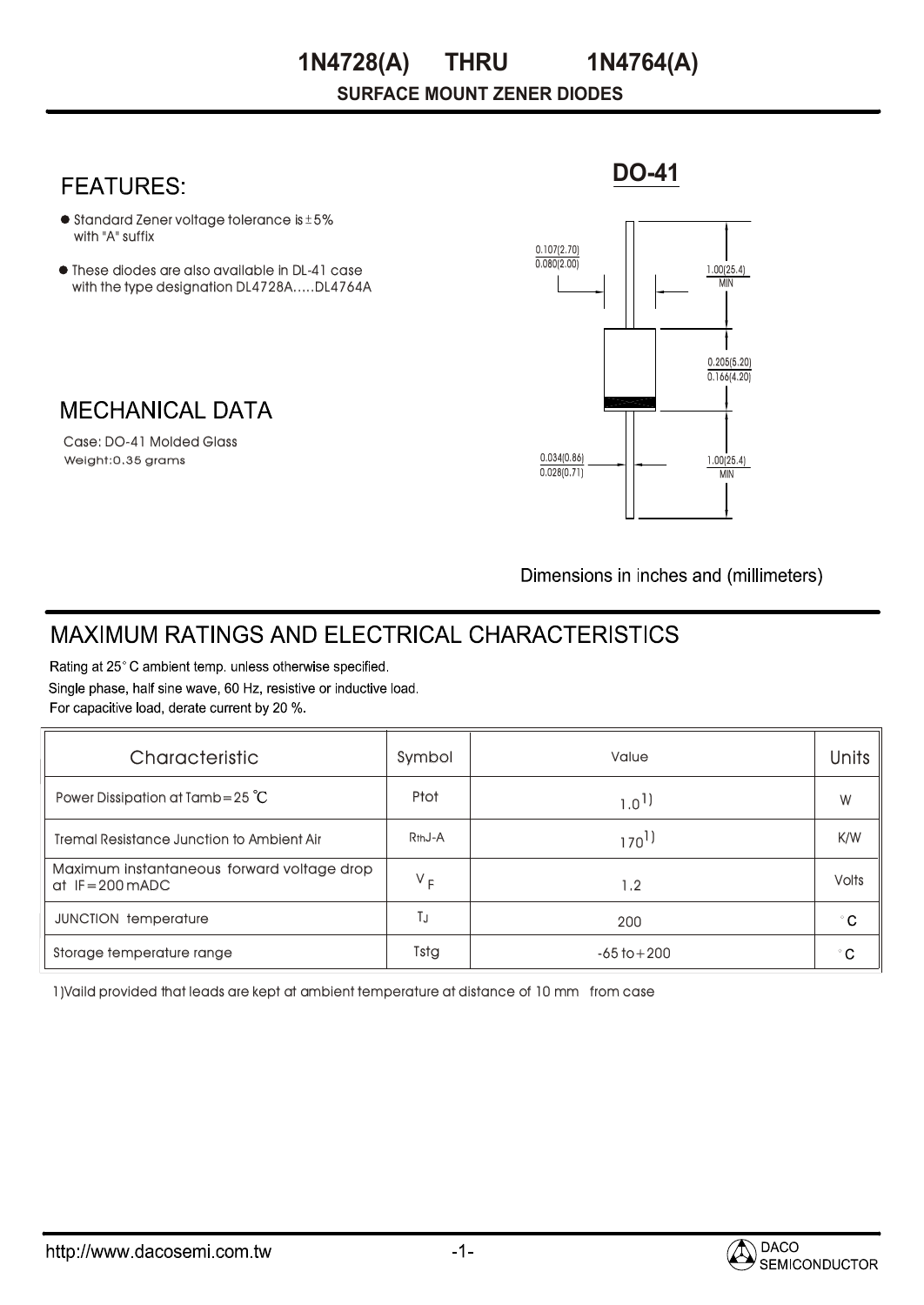#### **SURFACE MOUNT ZENER DIODES THRU 1N4728(A) 1N4764(A)**

### **FEATURES:**

- $\bullet$  Standard Zener voltage tolerance is  $\pm$  5% with "A" suffix
- These diodes are also available in DL-41 case with the type designation DL4728A.....DL4764A

## **MECHANICAL DATA**

Weight:0.35 grams Case: DO-41 Molded Glass **DO-41**



Dimensions in inches and (millimeters)

# **MAXIMUM RATINGS AND ELECTRICAL CHARACTERISTICS**

Rating at 25°C ambient temp. unless otherwise specified. Single phase, half sine wave, 60 Hz, resistive or inductive load. For capacitive load, derate current by 20 %.

| <b>Characteristic</b>                                          | Symbol              | Value           | <b>Units</b> |
|----------------------------------------------------------------|---------------------|-----------------|--------------|
| Power Dissipation at Tamb=25 $^{\circ}$ C                      | <b>Ptot</b>         | $1.0^{1}$       | W            |
| <b>Tremal Resistance Junction to Ambient Air</b>               | R <sub>th</sub> J-A | $170^{1}$       | <b>K/W</b>   |
| Maximum instantaneous forward voltage drop<br>$at$ IF=200 mADC | $V_F$               | 1.2             | <b>Volts</b> |
| <b>JUNCTION temperature</b>                                    | ТJ                  | 200             | $^{\circ}$ C |
| Storage temperature range                                      | Tstg                | $-65$ to $+200$ | $^{\circ}$ C |

1)Vaild provided that leads are kept at ambient temperature at distance of 10 mm from case

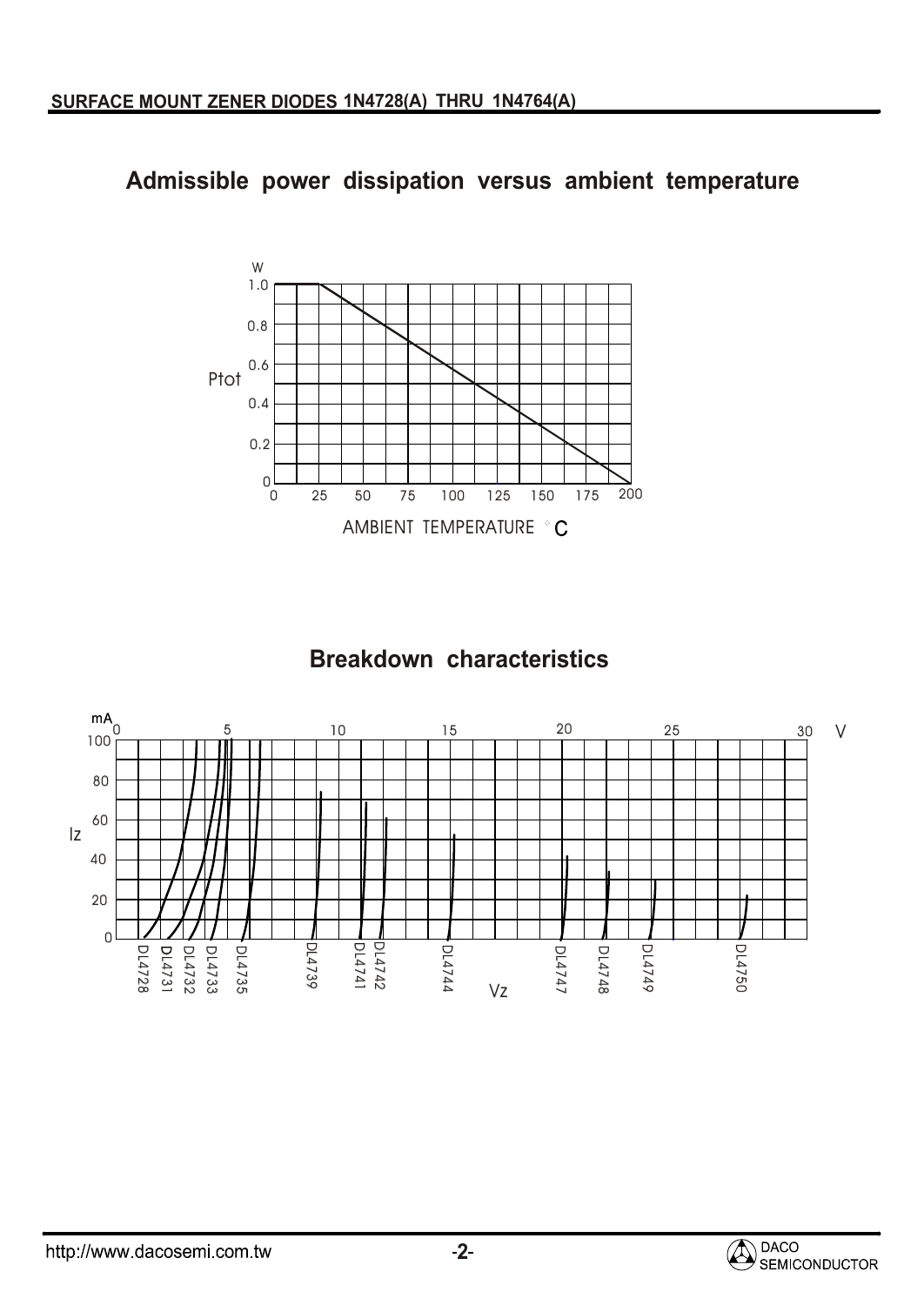# **Admissible power dissipation versus ambient temperature**



# **Breakdown characteristics**